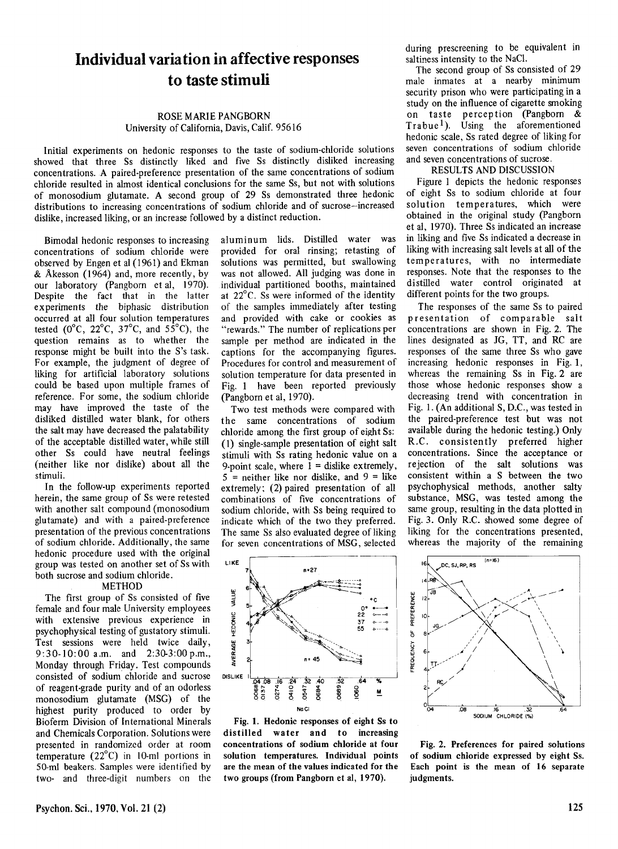## **Individual variation in affective responses to taste stimuli**

## ROSE MARIE PANGBORN University of Califomia, Davis, Calif. 95616

Initial experiments on hedonic responses to the taste of sodium-chloride solutions showed that three Ss distinctly liked and five Ss distinctly disliked increasing concentrations. A paired-preference presentation of the same concentrations of sodium chloride resulted in almost identical conclusions for the same Ss, but not with solutions of monosodium glutamate. A second group of 29 Ss demonstrated three hedonic distributions to increasing concentrations of sodium chloride and of sucrose-increased dislike, increased liking, or an increase followed by a distinct reduction.

Bimodal hedonic responses to increasing concentrations of sodium chloride were observed by Engen et al (1961) and Ekman & Akesson (1964) and, more recently, by our laboratory (Pangborn et al, 1970). Despite the fact that in the latter experiments the biphasic distribution occurred at all four solution temperatures tested ( $0^{\circ}$ C, 22 $^{\circ}$ C, 37 $^{\circ}$ C, and 55 $^{\circ}$ C), the question remains as to whether the response might be built into the S's task. For example, the judgment of degree of liking for artificial laboratory solutions could be based upon multiple frames of reference. For some, the sodium chloride may have improved the taste of the disliked distilled water blank, for others the salt may have decreased the palatability of the acceptable distilled water, while still other Ss could have neutral feelings (neither like nor dislike) about all the stimuli.

In the follow-up experiments reported herein, the same group of Ss were retested with another salt compound (monosodium glutamate) and with a paired-preference presentation of the previous concentrations of sodium chloride. Additionally, the same hedonic procedure used with the original group was tested on another set of Ss with both sucrose and sodium chloride.

## METHOD

The first group of Ss consisted of five female and four male University employees with extensive previous experience in psychophysical testing of gustatory stimuli. Test sessions were held twice daily, 9:30-10:00 a.m. and 2:30-3:00 p.m., Monday through Friday. Test compounds consisted of sodium' chloride and sucrose of reagent-grade purity and of an odorless monosodium glutamate (MSG) of the highest purity produced to order by Bioferm Division of International Minerals and Chemicals Corporation. Solutions were presented in randomized order at room temperature (22°C) in 10-ml portions in 50-mI beakers. Samples were identified by two- and three-digit numbers on the

aluminum lids. Distilled water was provided for oral rinsing; retasting of solutions was permitted, but swallowing was not allowed. All judging was done in individual partitioned booths, maintained at 22°C. Ss were informed of the identity of the samples immediately after testing and provided with cake or cookies as "rewards." The number of replications per sample per method are indicated in the captions for the accompanying figures. Procedures for control and measurement of solution temperature for data presented in Fig. 1 have been reported previously (Pangbom et al, 1970).

Two test methods were compared with the same concentrations of sodium chloride among the first group of eight Ss: (1) single-sample presentation of eight salt stimuli with Ss rating hedonic value on a 9-point scale, where  $1 =$  dislike extremely,  $5 =$  neither like nor dislike, and  $9 =$  like extremely; (2) paired presentation of all combinations of five concentrations of sodium chloride, with Ss being required to indicate which of the two they preferred. The same Ss also evaluated degree of liking for seven concentrations of MSG, selected



Fig. 1. Hedonic responses of eight Ss to distilled water and to increasing concentrations of sodium chloride at four solution temperatures. Individual points are the mean of the values indicated for the two groups (from Pangborn et al, 1970).

during prescreening to be equivalent in saltiness intensity to the NaCI.

The second group of Ss consisted of 29 male inmates at a nearby minimum security prison who were participating in a study on the influence of cigarette smoking on taste perception (Pangborn & Trabue<sup>1</sup>). Using the aforementioned hedonic scale, Ss rated degree of liking for seven concentrations of sodium chloride and seven concentrations of sucrose.

## RESULTS AND DISCUSSION

Figure 1 depicts the hedonic responses of eight Ss to sodium chloride at four solution temperatures, which were obtained in the original study (pangbom et al, 1970). Three Ss indicated an increase in liking and five Ss indicated a decrease in liking with increasing salt levels at all of the temperatures, with no intermediate responses. Note that the responses to the distilled water control originated at different points for the two groups.

The responses of the same Ss to paired presentation of comparable salt concentrations are shown in Fig. 2. The lines designated as JG, TT, and RC are responses of the same three Ss who gave increasing hedonic responses in Fig. 1, whereas the remaining Ss in Fig. 2 are those whose hedonic responses show a decreasing trend with concentration in Fig. 1. (An additional S, D.C., was tested in the paired-preference test but was not available during the hedonic testing.) Only R.C. consistently preferred higher concentrations. Since the acceptance or rejection of the salt solutions was consistent within a S between the two psychophysical methods, another salty substance, MSG, was tested among the same group, resulting in the data plotted in Fig. 3. Only R.C. showed some degree of liking for the concentrations presented, whereas the majority of the remaining



Fig. 2. Preferences for paired solutions of sodium chloride expressed by eight Ss. Each point is the mean of 16 separate judgments.